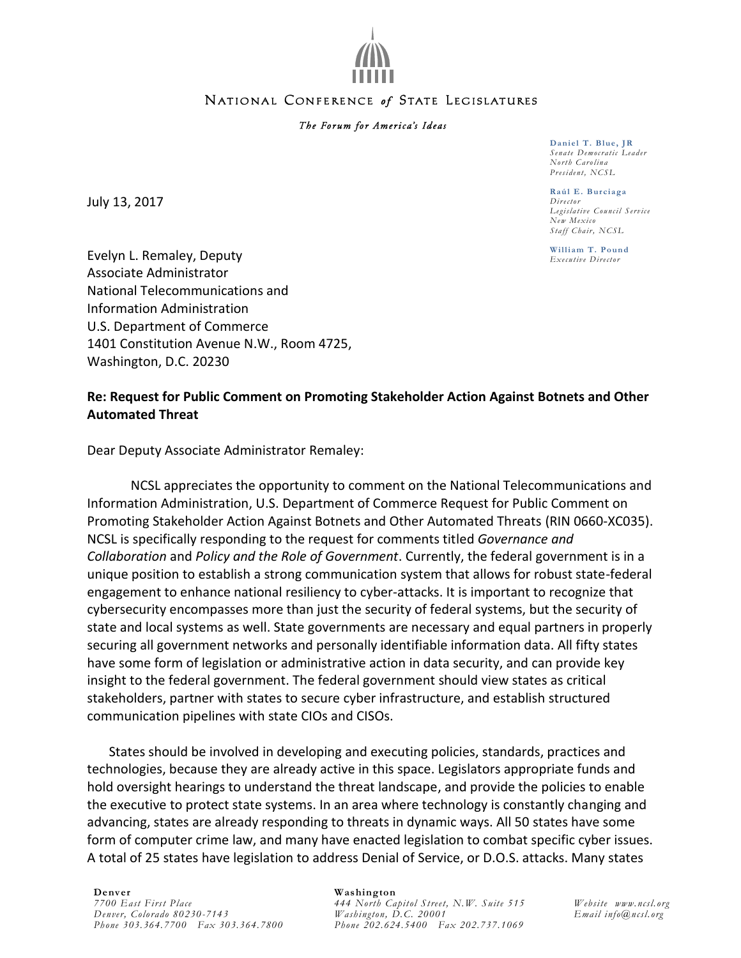

### NATIONAL CONFERENCE of STATE LEGISLATURES

#### The Forum for America's Ideas

July 13, 2017

**Daniel T. Blue, JR** *Sena te Democ rat ic Lead er No rt h Caro l ina*  $President, NCSL$ 

**Raúl E. Burciaga** *Dir ecto r Legisla t ive Counc il Ser vic e New Mexico Sta ff Cha ir , NCSL*

**William T. Pound** *Execut ive Direct or*

Evelyn L. Remaley, Deputy Associate Administrator National Telecommunications and Information Administration U.S. Department of Commerce 1401 Constitution Avenue N.W., Room 4725, Washington, D.C. 20230

# **Re: Request for Public Comment on Promoting Stakeholder Action Against Botnets and Other Automated Threat**

Dear Deputy Associate Administrator Remaley:

NCSL appreciates the opportunity to comment on the National Telecommunications and Information Administration, U.S. Department of Commerce Request for Public Comment on Promoting Stakeholder Action Against Botnets and Other Automated Threats (RIN 0660-XC035). NCSL is specifically responding to the request for comments titled *Governance and Collaboration* and *Policy and the Role of Government*. Currently, the federal government is in a unique position to establish a strong communication system that allows for robust state-federal engagement to enhance national resiliency to cyber-attacks. It is important to recognize that cybersecurity encompasses more than just the security of federal systems, but the security of state and local systems as well. State governments are necessary and equal partners in properly securing all government networks and personally identifiable information data. All fifty states have some form of legislation or administrative action in data security, and can provide key insight to the federal government. The federal government should view states as critical stakeholders, partner with states to secure cyber infrastructure, and establish structured communication pipelines with state CIOs and CISOs.

States should be involved in developing and executing policies, standards, practices and technologies, because they are already active in this space. Legislators appropriate funds and hold oversight hearings to understand the threat landscape, and provide the policies to enable the executive to protect state systems. In an area where technology is constantly changing and advancing, states are already responding to threats in dynamic ways. All 50 states have some form of computer crime law, and many have enacted legislation to combat specific cyber issues. A total of 25 states have legislation to address Denial of Service, or D.O.S. attacks. Many states

**Denver**

*7700 East First Place Denver, Colorado 80230-7143 Phone 303.364.7700 Fax 303.364.7800*

#### **Washington**

*444 North Capitol Street, N.W. Suite 515 Washington, D.C. 20001 Phone 202.624.5400 Fax 202.737.1069*

*Website www.ncsl.org Email info@ncsl.org*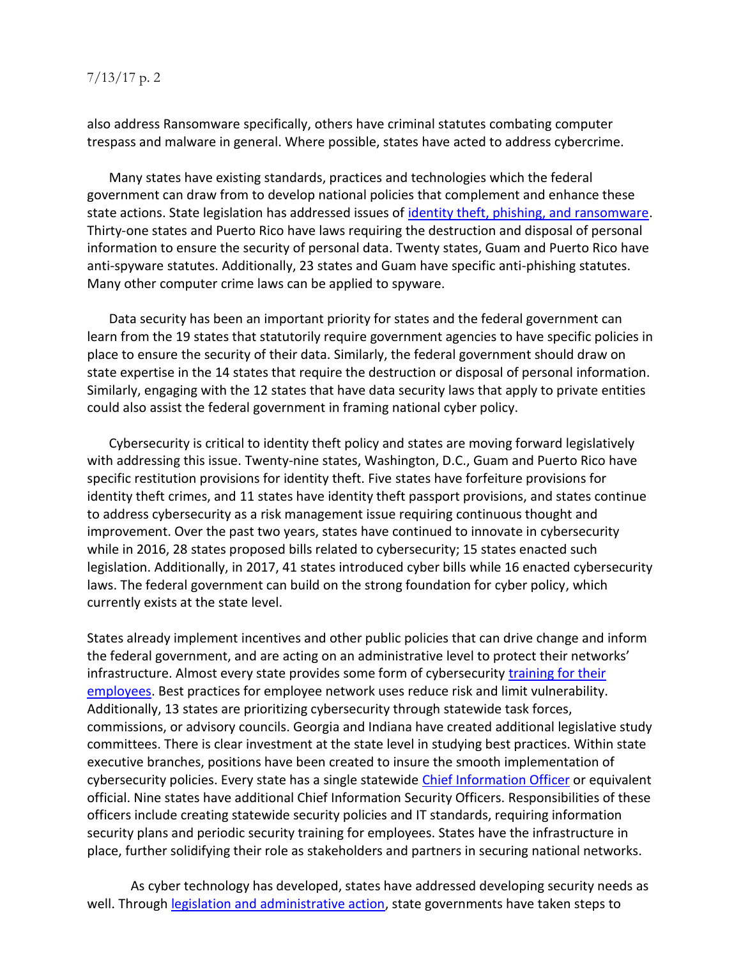# 7/13/17 p. 2

also address Ransomware specifically, others have criminal statutes combating computer trespass and malware in general. Where possible, states have acted to address cybercrime.

Many states have existing standards, practices and technologies which the federal government can draw from to develop national policies that complement and enhance these state actions. State legislation has addressed issues of [identity theft, phishing, and ransomware.](http://www.ncsl.org/research/telecommunications-and-information-technology/cybersecurity-legislation-2016.aspx) Thirty-one states and Puerto Rico have laws requiring the destruction and disposal of personal information to ensure the security of personal data. Twenty states, Guam and Puerto Rico have anti-spyware statutes. Additionally, 23 states and Guam have specific anti-phishing statutes. Many other computer crime laws can be applied to spyware.

Data security has been an important priority for states and the federal government can learn from the 19 states that statutorily require government agencies to have specific policies in place to ensure the security of their data. Similarly, the federal government should draw on state expertise in the 14 states that require the destruction or disposal of personal information. Similarly, engaging with the 12 states that have data security laws that apply to private entities could also assist the federal government in framing national cyber policy.

Cybersecurity is critical to identity theft policy and states are moving forward legislatively with addressing this issue. Twenty-nine states, Washington, D.C., Guam and Puerto Rico have specific restitution provisions for identity theft. Five states have forfeiture provisions for identity theft crimes, and 11 states have identity theft passport provisions, and states continue to address cybersecurity as a risk management issue requiring continuous thought and improvement. Over the past two years, states have continued to innovate in cybersecurity while in 2016, 28 states proposed bills related to cybersecurity; 15 states enacted such legislation. Additionally, in 2017, 41 states introduced cyber bills while 16 enacted cybersecurity laws. The federal government can build on the strong foundation for cyber policy, which currently exists at the state level.

States already implement incentives and other public policies that can drive change and inform the federal government, and are acting on an administrative level to protect their networks' infrastructure. Almost every state provides some form of cybersecurity [training for their](http://www.ncsl.org/ncsl-in-dc/standing-committees/law-criminal-justice-and-public-safety/state-cybersecurity-training-for-state-employees.aspx)  [employees.](http://www.ncsl.org/ncsl-in-dc/standing-committees/law-criminal-justice-and-public-safety/state-cybersecurity-training-for-state-employees.aspx) Best practices for employee network uses reduce risk and limit vulnerability. Additionally, 13 states are prioritizing cybersecurity through statewide task forces, commissions, or advisory councils. Georgia and Indiana have created additional legislative study committees. There is clear investment at the state level in studying best practices. Within state executive branches, positions have been created to insure the smooth implementation of cybersecurity policies. Every state has a single statewide [Chief Information Officer](http://www.ncsl.org/research/telecommunications-and-information-technology/state-statutes-creating-chief-information-security-officer-ciso-positions-in-state-government.aspx) or equivalent official. Nine states have additional Chief Information Security Officers. Responsibilities of these officers include creating statewide security policies and IT standards, requiring information security plans and periodic security training for employees. States have the infrastructure in place, further solidifying their role as stakeholders and partners in securing national networks.

As cyber technology has developed, states have addressed developing security needs as well. Through [legislation and administrative action,](http://www.ncsl.org/research/telecommunications-and-information-technology/cybersecurity-legislation-2017.aspx) state governments have taken steps to